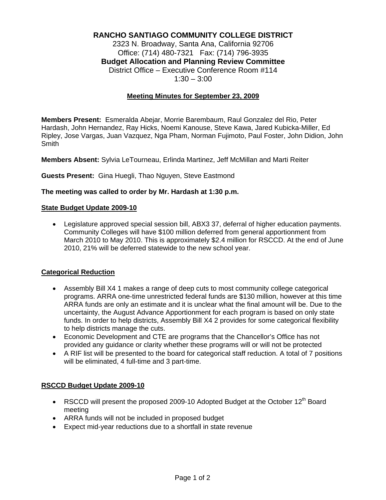# **RANCHO SANTIAGO COMMUNITY COLLEGE DISTRICT**

2323 N. Broadway, Santa Ana, California 92706 Office: (714) 480-7321 Fax: (714) 796-3935 **Budget Allocation and Planning Review Committee** District Office – Executive Conference Room #114  $1:30 - 3:00$ 

# **Meeting Minutes for September 23, 2009**

**Members Present:** Esmeralda Abejar, Morrie Barembaum, Raul Gonzalez del Rio, Peter Hardash, John Hernandez, Ray Hicks, Noemi Kanouse, Steve Kawa, Jared Kubicka-Miller, Ed Ripley, Jose Vargas, Juan Vazquez, Nga Pham, Norman Fujimoto, Paul Foster, John Didion, John **Smith** 

**Members Absent:** Sylvia LeTourneau, Erlinda Martinez, Jeff McMillan and Marti Reiter

### **Guests Present:** Gina Huegli, Thao Nguyen, Steve Eastmond

### **The meeting was called to order by Mr. Hardash at 1:30 p.m.**

### **State Budget Update 2009-10**

• Legislature approved special session bill, ABX3 37, deferral of higher education payments. Community Colleges will have \$100 million deferred from general apportionment from March 2010 to May 2010. This is approximately \$2.4 million for RSCCD. At the end of June 2010, 21% will be deferred statewide to the new school year.

# **Categorical Reduction**

- Assembly Bill X4 1 makes a range of deep cuts to most community college categorical programs. ARRA one-time unrestricted federal funds are \$130 million, however at this time ARRA funds are only an estimate and it is unclear what the final amount will be. Due to the uncertainty, the August Advance Apportionment for each program is based on only state funds. In order to help districts, Assembly Bill X4 2 provides for some categorical flexibility to help districts manage the cuts.
- Economic Development and CTE are programs that the Chancellor's Office has not provided any guidance or clarity whether these programs will or will not be protected
- A RIF list will be presented to the board for categorical staff reduction. A total of 7 positions will be eliminated, 4 full-time and 3 part-time.

### **RSCCD Budget Update 2009-10**

- RSCCD will present the proposed 2009-10 Adopted Budget at the October 12<sup>th</sup> Board meeting
- ARRA funds will not be included in proposed budget
- Expect mid-year reductions due to a shortfall in state revenue